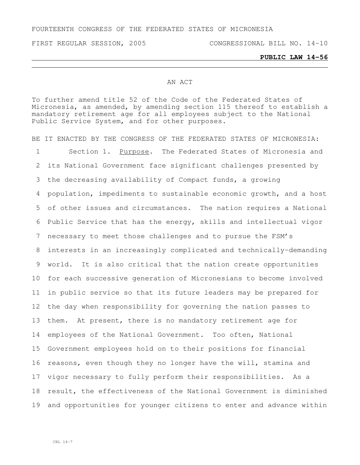FOURTEENTH CONGRESS OF THE FEDERATED STATES OF MICRONESIA

FIRST REGULAR SESSION, 2005 CONGRESSIONAL BILL NO. 14-10

## **PUBLIC LAW 14-56**

## AN ACT

To further amend title 52 of the Code of the Federated States of Micronesia, as amended, by amending section 115 thereof to establish a mandatory retirement age for all employees subject to the National Public Service System, and for other purposes.

BE IT ENACTED BY THE CONGRESS OF THE FEDERATED STATES OF MICRONESIA: Section 1. Purpose. The Federated States of Micronesia and its National Government face significant challenges presented by the decreasing availability of Compact funds, a growing population, impediments to sustainable economic growth, and a host of other issues and circumstances. The nation requires a National Public Service that has the energy, skills and intellectual vigor necessary to meet those challenges and to pursue the FSM's interests in an increasingly complicated and technically-demanding world. It is also critical that the nation create opportunities for each successive generation of Micronesians to become involved in public service so that its future leaders may be prepared for the day when responsibility for governing the nation passes to them. At present, there is no mandatory retirement age for 14 employees of the National Government. Too often, National Government employees hold on to their positions for financial reasons, even though they no longer have the will, stamina and vigor necessary to fully perform their responsibilities. As a result, the effectiveness of the National Government is diminished and opportunities for younger citizens to enter and advance within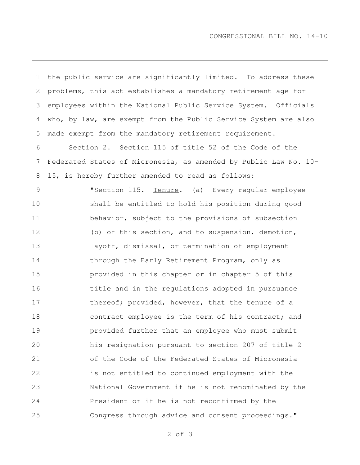| $\mathbf 1$ | the public service are significantly limited. To address these   |
|-------------|------------------------------------------------------------------|
| 2           | problems, this act establishes a mandatory retirement age for    |
| 3           | employees within the National Public Service System. Officials   |
| 4           | who, by law, are exempt from the Public Service System are also  |
| 5           | made exempt from the mandatory retirement requirement.           |
| 6           | Section 2. Section 115 of title 52 of the Code of the            |
| 7           | Federated States of Micronesia, as amended by Public Law No. 10- |
| 8           | 15, is hereby further amended to read as follows:                |
| $\mathsf 9$ | "Section 115. Tenure. (a) Every reqular employee                 |
| 10          | shall be entitled to hold his position during good               |
| 11          | behavior, subject to the provisions of subsection                |
| 12          | (b) of this section, and to suspension, demotion,                |
| 13          | layoff, dismissal, or termination of employment                  |
| 14          | through the Early Retirement Program, only as                    |
| 15          | provided in this chapter or in chapter 5 of this                 |
| 16          | title and in the regulations adopted in pursuance                |
| 17          | thereof; provided, however, that the tenure of a                 |
| 18          | contract employee is the term of his contract; and               |
| 19          | provided further that an employee who must submit                |
| 20          | his resignation pursuant to section 207 of title 2               |
| 21          | of the Code of the Federated States of Micronesia                |
| 22          | is not entitled to continued employment with the                 |
| 23          | National Government if he is not renominated by the              |
| 24          | President or if he is not reconfirmed by the                     |
| 25          | Congress through advice and consent proceedings."                |

of 3